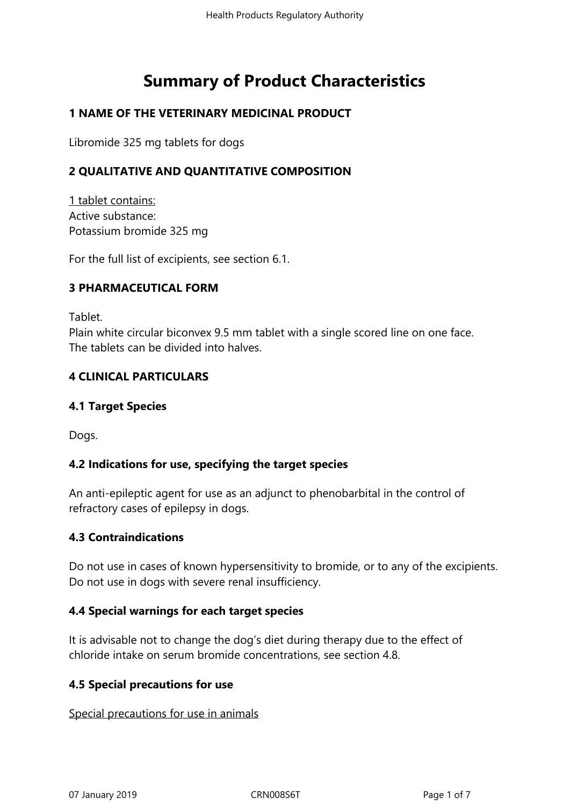# **Summary of Product Characteristics**

# **1 NAME OF THE VETERINARY MEDICINAL PRODUCT**

Libromide 325 mg tablets for dogs

# **2 QUALITATIVE AND QUANTITATIVE COMPOSITION**

1 tablet contains: Active substance: Potassium bromide 325 mg

For the full list of excipients, see section 6.1.

## **3 PHARMACEUTICAL FORM**

Tablet.

Plain white circular biconvex 9.5 mm tablet with a single scored line on one face. The tablets can be divided into halves.

## **4 CLINICAL PARTICULARS**

## **4.1 Target Species**

Dogs.

# **4.2 Indications for use, specifying the target species**

An anti-epileptic agent for use as an adjunct to phenobarbital in the control of refractory cases of epilepsy in dogs.

#### **4.3 Contraindications**

Do not use in cases of known hypersensitivity to bromide, or to any of the excipients. Do not use in dogs with severe renal insufficiency.

#### **4.4 Special warnings for each target species**

It is advisable not to change the dog's diet during therapy due to the effect of chloride intake on serum bromide concentrations, see section 4.8.

# **4.5 Special precautions for use**

Special precautions for use in animals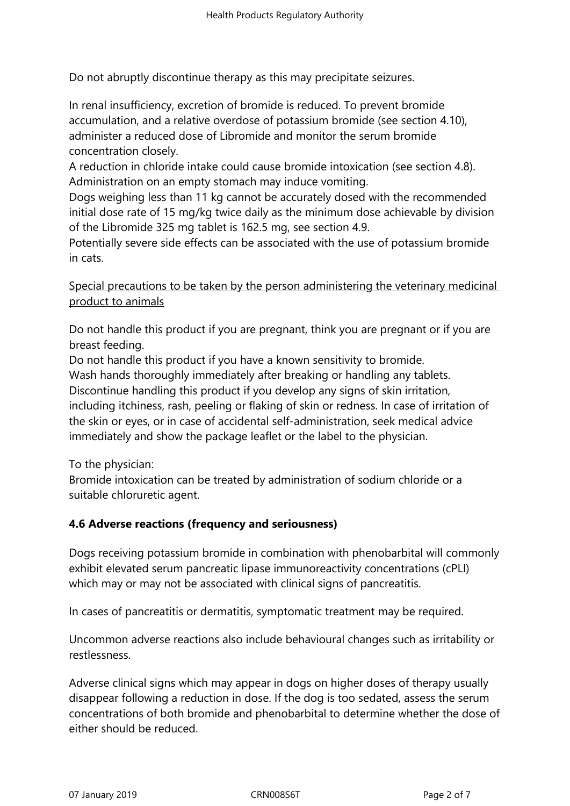Do not abruptly discontinue therapy as this may precipitate seizures.

In renal insufficiency, excretion of bromide is reduced. To prevent bromide accumulation, and a relative overdose of potassium bromide (see section 4.10), administer a reduced dose of Libromide and monitor the serum bromide concentration closely.

A reduction in chloride intake could cause bromide intoxication (see section 4.8). Administration on an empty stomach may induce vomiting.

Dogs weighing less than 11 kg cannot be accurately dosed with the recommended initial dose rate of 15 mg/kg twice daily as the minimum dose achievable by division of the Libromide 325 mg tablet is 162.5 mg, see section 4.9.

Potentially severe side effects can be associated with the use of potassium bromide in cats.

Special precautions to be taken by the person administering the veterinary medicinal product to animals

Do not handle this product if you are pregnant, think you are pregnant or if you are breast feeding.

Do not handle this product if you have a known sensitivity to bromide.

Wash hands thoroughly immediately after breaking or handling any tablets.

Discontinue handling this product if you develop any signs of skin irritation, including itchiness, rash, peeling or flaking of skin or redness. In case of irritation of the skin or eyes, or in case of accidental self‑administration, seek medical advice immediately and show the package leaflet or the label to the physician.

To the physician:

Bromide intoxication can be treated by administration of sodium chloride or a suitable chloruretic agent.

# **4.6 Adverse reactions (frequency and seriousness)**

Dogs receiving potassium bromide in combination with phenobarbital will commonly exhibit elevated serum pancreatic lipase immunoreactivity concentrations (cPLI) which may or may not be associated with clinical signs of pancreatitis.

In cases of pancreatitis or dermatitis, symptomatic treatment may be required.

Uncommon adverse reactions also include behavioural changes such as irritability or restlessness.

Adverse clinical signs which may appear in dogs on higher doses of therapy usually disappear following a reduction in dose. If the dog is too sedated, assess the serum concentrations of both bromide and phenobarbital to determine whether the dose of either should be reduced.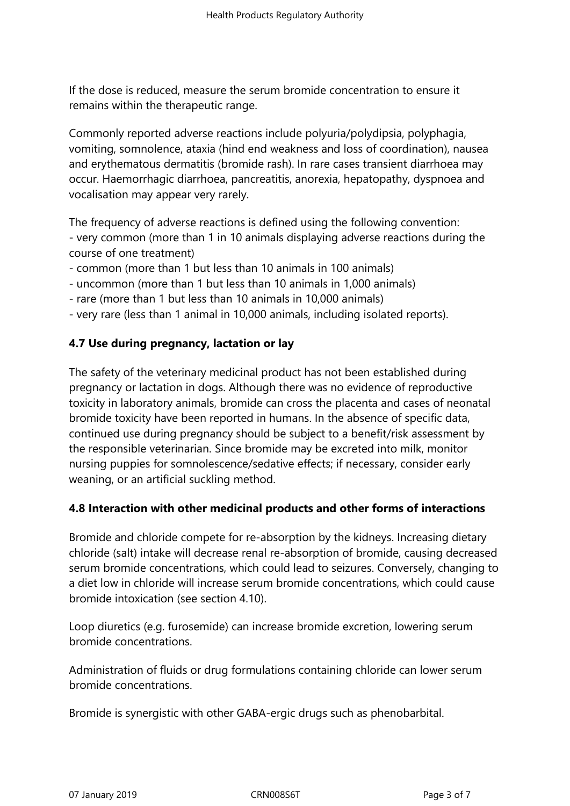If the dose is reduced, measure the serum bromide concentration to ensure it remains within the therapeutic range.

Commonly reported adverse reactions include polyuria/polydipsia, polyphagia, vomiting, somnolence, ataxia (hind end weakness and loss of coordination), nausea and erythematous dermatitis (bromide rash). In rare cases transient diarrhoea may occur. Haemorrhagic diarrhoea, pancreatitis, anorexia, hepatopathy, dyspnoea and vocalisation may appear very rarely.

The frequency of adverse reactions is defined using the following convention: - very common (more than 1 in 10 animals displaying adverse reactions during the course of one treatment)

- common (more than 1 but less than 10 animals in 100 animals)
- uncommon (more than 1 but less than 10 animals in 1,000 animals)
- rare (more than 1 but less than 10 animals in 10,000 animals)
- very rare (less than 1 animal in 10,000 animals, including isolated reports).

# **4.7 Use during pregnancy, lactation or lay**

The safety of the veterinary medicinal product has not been established during pregnancy or lactation in dogs. Although there was no evidence of reproductive toxicity in laboratory animals, bromide can cross the placenta and cases of neonatal bromide toxicity have been reported in humans. In the absence of specific data, continued use during pregnancy should be subject to a benefit/risk assessment by the responsible veterinarian. Since bromide may be excreted into milk, monitor nursing puppies for somnolescence/sedative effects; if necessary, consider early weaning, or an artificial suckling method.

# **4.8 Interaction with other medicinal products and other forms of interactions**

Bromide and chloride compete for re-absorption by the kidneys. Increasing dietary chloride (salt) intake will decrease renal re-absorption of bromide, causing decreased serum bromide concentrations, which could lead to seizures. Conversely, changing to a diet low in chloride will increase serum bromide concentrations, which could cause bromide intoxication (see section 4.10).

Loop diuretics (e.g. furosemide) can increase bromide excretion, lowering serum bromide concentrations.

Administration of fluids or drug formulations containing chloride can lower serum bromide concentrations.

Bromide is synergistic with other GABA-ergic drugs such as phenobarbital.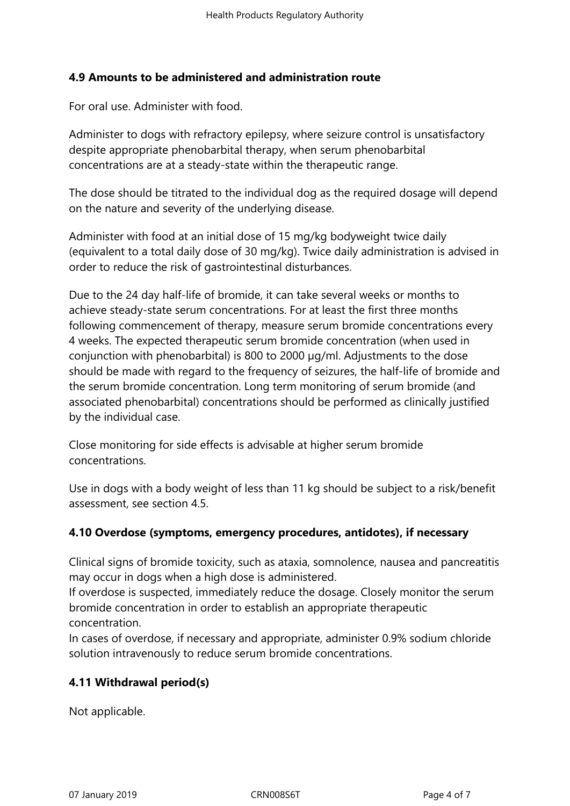# **4.9 Amounts to be administered and administration route**

For oral use. Administer with food.

Administer to dogs with refractory epilepsy, where seizure control is unsatisfactory despite appropriate phenobarbital therapy, when serum phenobarbital concentrations are at a steady-state within the therapeutic range.

The dose should be titrated to the individual dog as the required dosage will depend on the nature and severity of the underlying disease.

Administer with food at an initial dose of 15 mg/kg bodyweight twice daily (equivalent to a total daily dose of 30 mg/kg). Twice daily administration is advised in order to reduce the risk of gastrointestinal disturbances.

Due to the 24 day half-life of bromide, it can take several weeks or months to achieve steady-state serum concentrations. For at least the first three months following commencement of therapy, measure serum bromide concentrations every 4 weeks. The expected therapeutic serum bromide concentration (when used in conjunction with phenobarbital) is 800 to 2000 µg/ml. Adjustments to the dose should be made with regard to the frequency of seizures, the half-life of bromide and the serum bromide concentration. Long term monitoring of serum bromide (and associated phenobarbital) concentrations should be performed as clinically justified by the individual case.

Close monitoring for side effects is advisable at higher serum bromide concentrations.

Use in dogs with a body weight of less than 11 kg should be subject to a risk/benefit assessment, see section 4.5.

# **4.10 Overdose (symptoms, emergency procedures, antidotes), if necessary**

Clinical signs of bromide toxicity, such as ataxia, somnolence, nausea and pancreatitis may occur in dogs when a high dose is administered.

If overdose is suspected, immediately reduce the dosage. Closely monitor the serum bromide concentration in order to establish an appropriate therapeutic concentration.

In cases of overdose, if necessary and appropriate, administer 0.9% sodium chloride solution intravenously to reduce serum bromide concentrations.

# **4.11 Withdrawal period(s)**

Not applicable.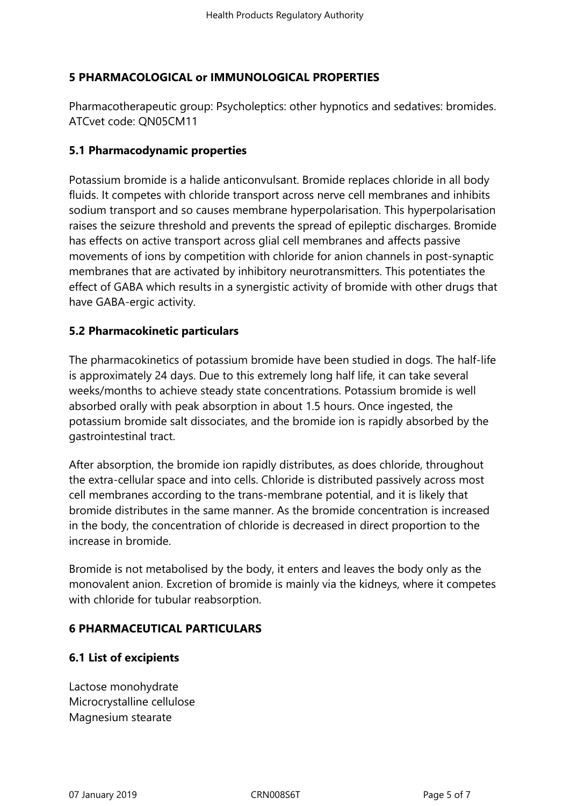# **5 PHARMACOLOGICAL or IMMUNOLOGICAL PROPERTIES**

Pharmacotherapeutic group: Psycholeptics: other hypnotics and sedatives: bromides. ATCvet code: QN05CM11

# **5.1 Pharmacodynamic properties**

Potassium bromide is a halide anticonvulsant. Bromide replaces chloride in all body fluids. It competes with chloride transport across nerve cell membranes and inhibits sodium transport and so causes membrane hyperpolarisation. This hyperpolarisation raises the seizure threshold and prevents the spread of epileptic discharges. Bromide has effects on active transport across glial cell membranes and affects passive movements of ions by competition with chloride for anion channels in post-synaptic membranes that are activated by inhibitory neurotransmitters. This potentiates the effect of GABA which results in a synergistic activity of bromide with other drugs that have GABA-ergic activity.

# **5.2 Pharmacokinetic particulars**

The pharmacokinetics of potassium bromide have been studied in dogs. The half-life is approximately 24 days. Due to this extremely long half life, it can take several weeks/months to achieve steady state concentrations. Potassium bromide is well absorbed orally with peak absorption in about 1.5 hours. Once ingested, the potassium bromide salt dissociates, and the bromide ion is rapidly absorbed by the gastrointestinal tract.

After absorption, the bromide ion rapidly distributes, as does chloride, throughout the extra‑cellular space and into cells. Chloride is distributed passively across most cell membranes according to the trans-membrane potential, and it is likely that bromide distributes in the same manner. As the bromide concentration is increased in the body, the concentration of chloride is decreased in direct proportion to the increase in bromide.

Bromide is not metabolised by the body, it enters and leaves the body only as the monovalent anion. Excretion of bromide is mainly via the kidneys, where it competes with chloride for tubular reabsorption.

# **6 PHARMACEUTICAL PARTICULARS**

# **6.1 List of excipients**

Lactose monohydrate Microcrystalline cellulose Magnesium stearate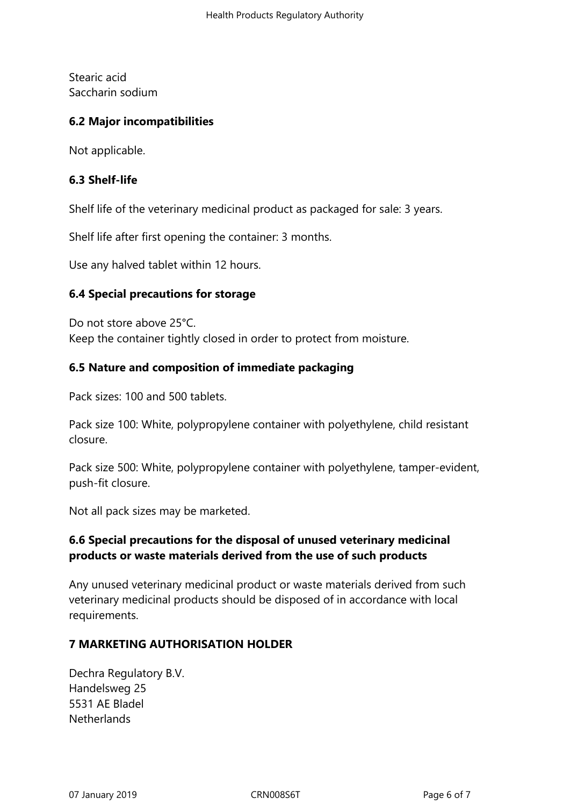Stearic acid Saccharin sodium

## **6.2 Major incompatibilities**

Not applicable.

## **6.3 Shelf-life**

Shelf life of the veterinary medicinal product as packaged for sale: 3 years.

Shelf life after first opening the container: 3 months.

Use any halved tablet within 12 hours.

## **6.4 Special precautions for storage**

Do not store above 25°C. Keep the container tightly closed in order to protect from moisture.

## **6.5 Nature and composition of immediate packaging**

Pack sizes: 100 and 500 tablets.

Pack size 100: White, polypropylene container with polyethylene, child resistant closure.

Pack size 500: White, polypropylene container with polyethylene, tamper-evident, push-fit closure.

Not all pack sizes may be marketed.

# **6.6 Special precautions for the disposal of unused veterinary medicinal products or waste materials derived from the use of such products**

Any unused veterinary medicinal product or waste materials derived from such veterinary medicinal products should be disposed of in accordance with local requirements.

## **7 MARKETING AUTHORISATION HOLDER**

Dechra Regulatory B.V. Handelsweg 25 5531 AE Bladel **Netherlands**